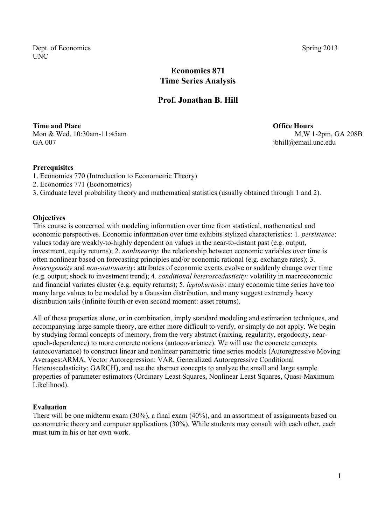Dept. of Economics Spring 2013 UNC

# **Economics 871 Time Series Analysis**

## **Prof. Jonathan B. Hill**

**Time and Place Contract Contract Contract Contract Contract Contract Contract Contract Contract Contract Contract Contract Contract Contract Contract Contract Contract Contract Contract Contract Contract Contract Contract** Mon & Wed. 10:30am-11:45am M, W 1-2pm, GA 208B GA 007 jbhill@email.unc.edu

#### **Prerequisites**

- 1. Economics 770 (Introduction to Econometric Theory)
- 2. Economics 771 (Econometrics)
- 3. Graduate level probability theory and mathematical statistics (usually obtained through 1 and 2).

#### **Objectives**

This course is concerned with modeling information over time from statistical, mathematical and economic perspectives. Economic information over time exhibits stylized characteristics: 1. *persistence*: values today are weakly-to-highly dependent on values in the near-to-distant past (e.g. output, investment, equity returns); 2. *nonlinearity*: the relationship between economic variables over time is often nonlinear based on forecasting principles and/or economic rational (e.g. exchange rates); 3. *heterogeneity* and *non-stationarity*: attributes of economic events evolve or suddenly change over time (e.g. output; shock to investment trend); 4. *conditional heteroscedasticity*: volatility in macroeconomic and financial variates cluster (e.g. equity returns); 5. *leptokurtosis*: many economic time series have too many large values to be modeled by a Gaussian distribution, and many suggest extremely heavy distribution tails (infinite fourth or even second moment: asset returns).

All of these properties alone, or in combination, imply standard modeling and estimation techniques, and accompanying large sample theory, are either more difficult to verify, or simply do not apply. We begin by studying formal concepts of memory, from the very abstract (mixing, regularity, ergodocity, nearepoch-dependence) to more concrete notions (autocovariance). We will use the concrete concepts (autocovariance) to construct linear and nonlinear parametric time series models (Autoregressive Moving Averages:ARMA, Vector Autoregression: VAR, Generalized Autoregressive Conditional Heteroscedasticity: GARCH), and use the abstract concepts to analyze the small and large sample properties of parameter estimators (Ordinary Least Squares, Nonlinear Least Squares, Quasi-Maximum Likelihood).

#### **Evaluation**

There will be one midterm exam (30%), a final exam (40%), and an assortment of assignments based on econometric theory and computer applications (30%). While students may consult with each other, each must turn in his or her own work.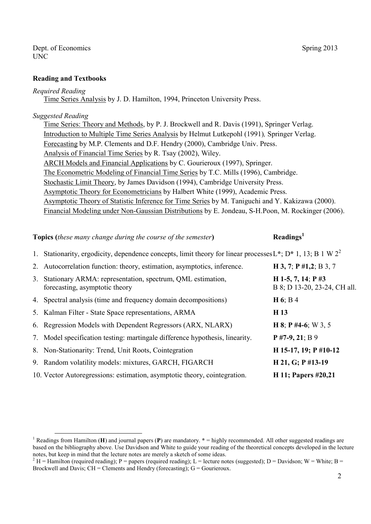#### **Reading and Textbooks**

#### *Required Reading*

Time Series Analysis by J. D. Hamilton, 1994, Princeton University Press.

### *Suggested Reading*

Time Series: Theory and Methods, by P. J. Brockwell and R. Davis (1991), Springer Verlag. Introduction to Multiple Time Series Analysis by Helmut Lutkepohl (1991)*,* Springer Verlag. Forecasting by M.P. Clements and D.F. Hendry (2000), Cambridge Univ. Press. Analysis of Financial Time Series by R. Tsay (2002), Wiley. ARCH Models and Financial Applications by C. Gourieroux (1997), Springer. The Econometric Modeling of Financial Time Series by T.C. Mills (1996), Cambridge. Stochastic Limit Theory, by James Davidson (1994), Cambridge University Press. Asymptotic Theory for Econometricians by Halbert White (1999), Academic Press. Asymptotic Theory of Statistic Inference for Time Series by M. Taniguchi and Y. Kakizawa (2000). Financial Modeling under Non-Gaussian Distributions by E. Jondeau, S-H.Poon, M. Rockinger (2006).

| <b>Topics (these many change during the course of the semester)</b> |                                                                                                                                        | Readings <sup>1</sup>                                 |
|---------------------------------------------------------------------|----------------------------------------------------------------------------------------------------------------------------------------|-------------------------------------------------------|
|                                                                     | 1. Stationarity, ergodicity, dependence concepts, limit theory for linear processes L <sup>*</sup> ; D <sup>*</sup> 1, 13; B 1 W $2^2$ |                                                       |
|                                                                     | 2. Autocorrelation function: theory, estimation, asymptotics, inference.                                                               | H 3, 7; P $#1,2$ ; B 3, 7                             |
|                                                                     | 3. Stationary ARMA: representation, spectrum, QML estimation,<br>forecasting, asymptotic theory                                        | H 1-5, 7, 14; P $\#3$<br>B 8; D 13-20, 23-24, CH all. |
|                                                                     | 4. Spectral analysis (time and frequency domain decompositions)                                                                        | $H 6$ ; B 4                                           |
|                                                                     | 5. Kalman Filter - State Space representations, ARMA                                                                                   | H <sub>13</sub>                                       |
|                                                                     | 6. Regression Models with Dependent Regressors (ARX, NLARX)                                                                            | <b>H</b> 8; <b>P</b> #4-6; W 3, 5                     |
|                                                                     | 7. Model specification testing: martingale difference hypothesis, linearity.                                                           | $P$ #7-9, 21; B 9                                     |
|                                                                     | 8. Non-Stationarity: Trend, Unit Roots, Cointegration                                                                                  | H 15-17, 19; P #10-12                                 |
|                                                                     | 9. Random volatility models: mixtures, GARCH, FIGARCH                                                                                  | $H$ 21, G; P #13-19                                   |
|                                                                     | 10. Vector Autoregressions: estimation, asymptotic theory, cointegration.                                                              | <b>H</b> 11; Papers #20,21                            |

<sup>1</sup> Readings from Hamilton (**H**) and journal papers (**P**) are mandatory. **\*** = highly recommended. All other suggested readings are based on the bibliography above. Use Davidson and White to guide your reading of the theoretical concepts developed in the lecture notes, but keep in mind that the lecture notes are merely a sketch of some ideas.

<sup>&</sup>lt;sup>2</sup> H = Hamilton (required reading); P = papers (required reading); L = lecture notes (suggested); D = Davidson; W = White; B = Brockwell and Davis;  $CH =$  Clements and Hendry (forecasting);  $G =$  Gourieroux.